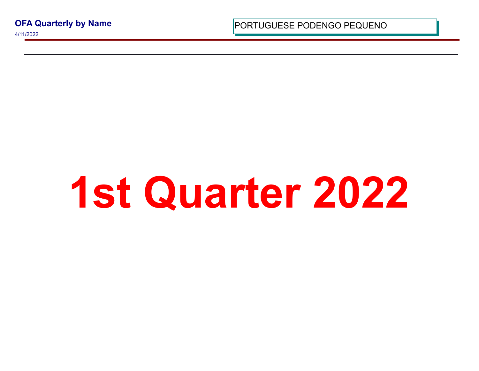**OFA Quarterly by Name**

4/11/2022

PORTUGUESE PODENGO PEQUI

## **1st Quarter 202**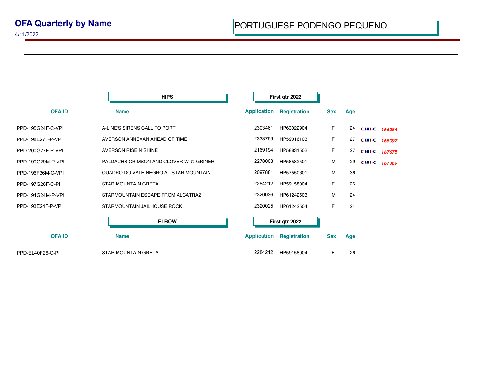4/11/2022

|                   | <b>HIPS</b>                            |                    | First gtr 2022      |            |     |             |  |
|-------------------|----------------------------------------|--------------------|---------------------|------------|-----|-------------|--|
| <b>OFA ID</b>     | <b>Name</b>                            | <b>Application</b> | <b>Registration</b> | <b>Sex</b> | Age |             |  |
| PPD-195G24F-C-VPI | A-LINE'S SIRENS CALL TO PORT           | 2303461            | HP63022904          | F          | 24  | CHIC 166284 |  |
| PPD-198E27F-P-VPI | AVERSON ANNEVAN AHEAD OF TIME          | 2333759            | HP59016103          | F          | 27  | CHIC 168097 |  |
| PPD-200G27F-P-VPI | AVERSON RISE N SHINE                   | 2169194            | HP58831502          | F          | 27  | CHIC 167675 |  |
| PPD-199G29M-P-VPI | PALDACHS CRIMSON AND CLOVER W @ GRINER | 2278008            | HP58582501          | M          | 29  | CHIC 167369 |  |
| PPD-196F36M-C-VPI | QUADRO DO VALE NEGRO AT STAR MOUNTAIN  | 2097881            | HP57550601          | M          | 36  |             |  |
| PPD-197G26F-C-PI  | <b>STAR MOUNTAIN GRETA</b>             | 2284212            | HP59158004          | F          | 26  |             |  |
| PPD-194G24M-P-VPI | STARMOUNTAIN ESCAPE FROM ALCATRAZ      | 2320036            | HP61242503          | M          | 24  |             |  |
| PPD-193E24F-P-VPI | STARMOUNTAIN JAILHOUSE ROCK            | 2320025            | HP61242504          | F          | 24  |             |  |
|                   | <b>ELBOW</b>                           |                    | First qtr 2022      |            |     |             |  |
| <b>OFA ID</b>     | <b>Name</b>                            | <b>Application</b> | <b>Registration</b> | <b>Sex</b> | Age |             |  |
| PPD-EL40F26-C-PI  | <b>STAR MOUNTAIN GRETA</b>             | 2284212            | HP59158004          | F          | 26  |             |  |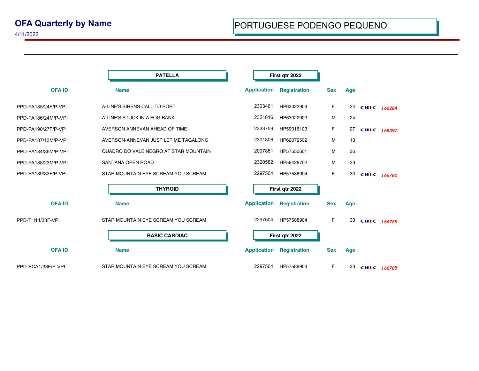|                     | <b>PATELLA</b>                        | First qtr 2022     |                     |            |     |             |  |
|---------------------|---------------------------------------|--------------------|---------------------|------------|-----|-------------|--|
| <b>OFA ID</b>       | <b>Name</b>                           | <b>Application</b> | <b>Registration</b> | <b>Sex</b> | Age |             |  |
| PPD-PA185/24F/P-VPI | A-LINE'S SIRENS CALL TO PORT          | 2303461            | HP63022904          | F.         | 24  | CHIC 166284 |  |
| PPD-PA186/24M/P-VPI | A-LINE'S STUCK IN A FOG BANK          | 2321816            | HP63022903          | M          | 24  |             |  |
| PPD-PA190/27F/P-VPI | AVERSON ANNEVAN AHEAD OF TIME         | 2333759            | HP59016103          | F.         | 27  | CHIC 168097 |  |
| PPD-PA187/13M/P-VPI | AVERSON-ANNEVAN JUST LET ME TAGALONG  | 2301806            | HP62079502          | M          | 13  |             |  |
| PPD-PA184/36M/P-VPI | QUADRO DO VALE NEGRO AT STAR MOUNTAIN | 2097881            | HP57550601          | м          | 36  |             |  |
| PPD-PA188/23M/P-VPI | SANTANA OPEN ROAD                     | 2320582            | HP59428702          | М          | 23  |             |  |
| PPD-PA189/33F/P-VPI | STAR MOUNTAIN EYE SCREAM YOU SCREAM   | 2297504            | HP57588904          | F.         | 33  | CHIC 166785 |  |
|                     | <b>THYROID</b>                        |                    | First qtr 2022      |            |     |             |  |
| <b>OFAID</b>        | <b>Name</b>                           | <b>Application</b> | <b>Registration</b> | <b>Sex</b> | Age |             |  |
| PPD-TH14/33F-VPI    | STAR MOUNTAIN EYE SCREAM YOU SCREAM   | 2297504            | HP57588904          | F.         | 33  | CHIC 166785 |  |
|                     | <b>BASIC CARDIAC</b>                  |                    | First qtr 2022      |            |     |             |  |
| <b>OFA ID</b>       | <b>Name</b>                           | <b>Application</b> | <b>Registration</b> | <b>Sex</b> | Age |             |  |
| PPD-BCA1/33F/P-VPI  | STAR MOUNTAIN EYE SCREAM YOU SCREAM   | 2297504            | HP57588904          | F          | 33  | CHIC 166785 |  |